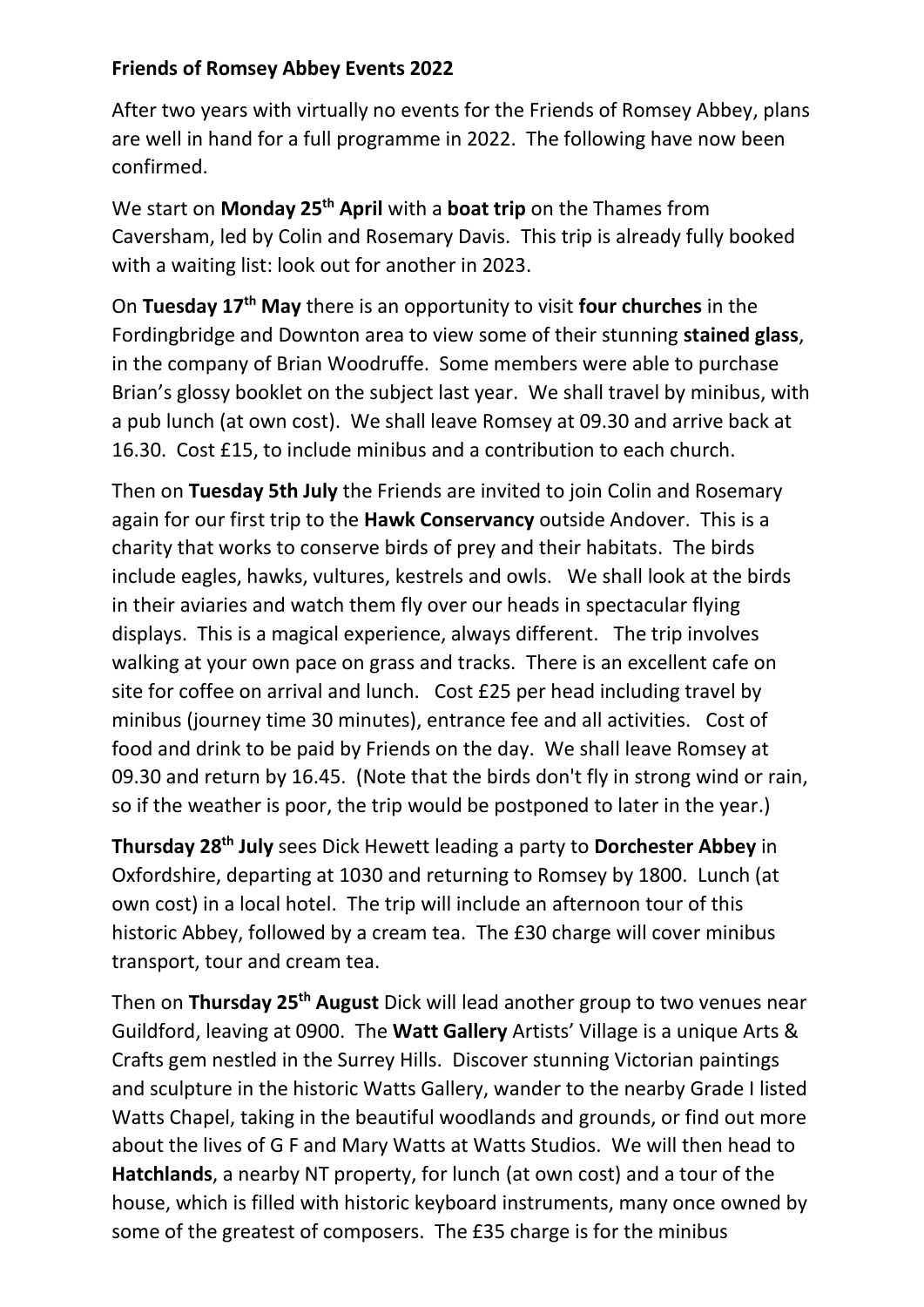## **Friends of Romsey Abbey Events 2022**

After two years with virtually no events for the Friends of Romsey Abbey, plans are well in hand for a full programme in 2022. The following have now been confirmed.

We start on **Monday 25 th April** with a **boat trip** on the Thames from Caversham, led by Colin and Rosemary Davis. This trip is already fully booked with a waiting list: look out for another in 2023.

On **Tuesday 17th May** there is an opportunity to visit **four churches** in the Fordingbridge and Downton area to view some of their stunning **stained glass**, in the company of Brian Woodruffe. Some members were able to purchase Brian's glossy booklet on the subject last year. We shall travel by minibus, with a pub lunch (at own cost). We shall leave Romsey at 09.30 and arrive back at 16.30. Cost £15, to include minibus and a contribution to each church.

Then on **Tuesday 5th July** the Friends are invited to join Colin and Rosemary again for our first trip to the **Hawk Conservancy** outside Andover. This is a charity that works to conserve birds of prey and their habitats. The birds include eagles, hawks, vultures, kestrels and owls. We shall look at the birds in their aviaries and watch them fly over our heads in spectacular flying displays. This is a magical experience, always different. The trip involves walking at your own pace on grass and tracks. There is an excellent cafe on site for coffee on arrival and lunch. Cost £25 per head including travel by minibus (journey time 30 minutes), entrance fee and all activities. Cost of food and drink to be paid by Friends on the day. We shall leave Romsey at 09.30 and return by 16.45. (Note that the birds don't fly in strong wind or rain, so if the weather is poor, the trip would be postponed to later in the year.)

**Thursday 28th July** sees Dick Hewett leading a party to **Dorchester Abbey** in Oxfordshire, departing at 1030 and returning to Romsey by 1800. Lunch (at own cost) in a local hotel. The trip will include an afternoon tour of this historic Abbey, followed by a cream tea. The £30 charge will cover minibus transport, tour and cream tea.

Then on **Thursday 25th August** Dick will lead another group to two venues near Guildford, leaving at 0900. The **Watt Gallery** Artists' Village is a unique Arts & Crafts gem nestled in the Surrey Hills. Discover stunning Victorian paintings and sculpture in the historic Watts Gallery, wander to the nearby Grade I listed Watts Chapel, taking in the beautiful woodlands and grounds, or find out more about the lives of G F and Mary Watts at Watts Studios. We will then head to **Hatchlands**, a nearby NT property, for lunch (at own cost) and a tour of the house, which is filled with historic keyboard instruments, many once owned by some of the greatest of composers. The £35 charge is for the minibus